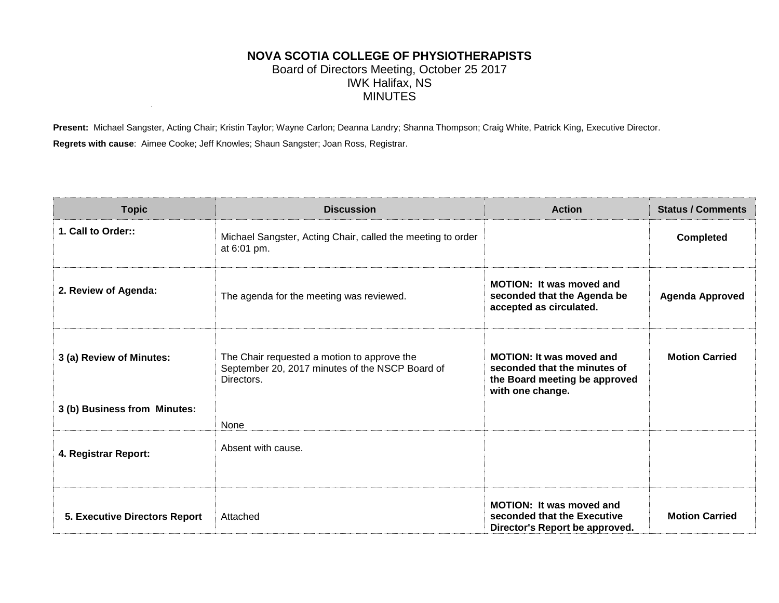## **NOVA SCOTIA COLLEGE OF PHYSIOTHERAPISTS** Board of Directors Meeting, October 25 2017 IWK Halifax, NS MINUTES

**Present:** Michael Sangster, Acting Chair; Kristin Taylor; Wayne Carlon; Deanna Landry; Shanna Thompson; Craig White, Patrick King, Executive Director. **Regrets with cause**: Aimee Cooke; Jeff Knowles; Shaun Sangster; Joan Ross, Registrar.

| <b>Topic</b>                         | <b>Discussion</b>                                                                                            | <b>Action</b>                                                                                                        | <b>Status / Comments</b> |
|--------------------------------------|--------------------------------------------------------------------------------------------------------------|----------------------------------------------------------------------------------------------------------------------|--------------------------|
| 1. Call to Order::                   | Michael Sangster, Acting Chair, called the meeting to order<br>at 6:01 pm.                                   |                                                                                                                      | <b>Completed</b>         |
| 2. Review of Agenda:                 | The agenda for the meeting was reviewed.                                                                     | MOTION: It was moved and<br>seconded that the Agenda be<br>accepted as circulated.                                   | <b>Agenda Approved</b>   |
| 3 (a) Review of Minutes:             | The Chair requested a motion to approve the<br>September 20, 2017 minutes of the NSCP Board of<br>Directors. | <b>MOTION: It was moved and</b><br>seconded that the minutes of<br>the Board meeting be approved<br>with one change. | <b>Motion Carried</b>    |
| 3 (b) Business from Minutes:         |                                                                                                              |                                                                                                                      |                          |
|                                      | None                                                                                                         |                                                                                                                      |                          |
| 4. Registrar Report:                 | Absent with cause.                                                                                           |                                                                                                                      |                          |
| <b>5. Executive Directors Report</b> | Attached                                                                                                     | <b>MOTION: It was moved and</b><br>seconded that the Executive<br>Director's Report be approved.                     | <b>Motion Carried</b>    |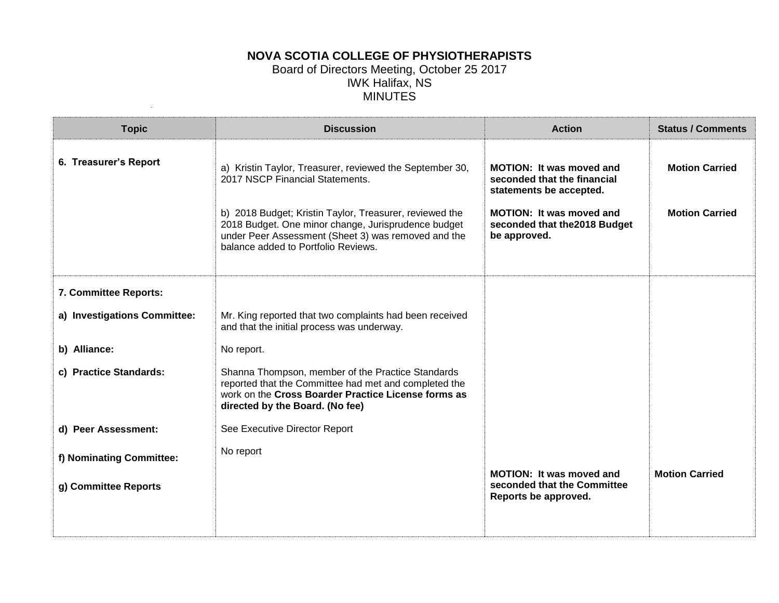## **NOVA SCOTIA COLLEGE OF PHYSIOTHERAPISTS** Board of Directors Meeting, October 25 2017 IWK Halifax, NS MINUTES

|                                                                                                                                                                                                                                                                                                             | <b>Action</b>                                                                                                                                                                 | <b>Status / Comments</b>                       |
|-------------------------------------------------------------------------------------------------------------------------------------------------------------------------------------------------------------------------------------------------------------------------------------------------------------|-------------------------------------------------------------------------------------------------------------------------------------------------------------------------------|------------------------------------------------|
| a) Kristin Taylor, Treasurer, reviewed the September 30,<br>2017 NSCP Financial Statements.<br>b) 2018 Budget; Kristin Taylor, Treasurer, reviewed the<br>2018 Budget. One minor change, Jurisprudence budget<br>under Peer Assessment (Sheet 3) was removed and the<br>balance added to Portfolio Reviews. | <b>MOTION: It was moved and</b><br>seconded that the financial<br>statements be accepted.<br><b>MOTION: It was moved and</b><br>seconded that the 2018 Budget<br>be approved. | <b>Motion Carried</b><br><b>Motion Carried</b> |
|                                                                                                                                                                                                                                                                                                             |                                                                                                                                                                               |                                                |
| Mr. King reported that two complaints had been received<br>and that the initial process was underway.                                                                                                                                                                                                       |                                                                                                                                                                               |                                                |
| No report.                                                                                                                                                                                                                                                                                                  |                                                                                                                                                                               |                                                |
| Shanna Thompson, member of the Practice Standards<br>reported that the Committee had met and completed the<br>work on the Cross Boarder Practice License forms as<br>directed by the Board. (No fee)                                                                                                        |                                                                                                                                                                               |                                                |
| See Executive Director Report                                                                                                                                                                                                                                                                               |                                                                                                                                                                               |                                                |
| No report                                                                                                                                                                                                                                                                                                   |                                                                                                                                                                               |                                                |
|                                                                                                                                                                                                                                                                                                             | <b>MOTION: It was moved and</b><br>seconded that the Committee<br>Reports be approved.                                                                                        | <b>Motion Carried</b>                          |
|                                                                                                                                                                                                                                                                                                             |                                                                                                                                                                               |                                                |